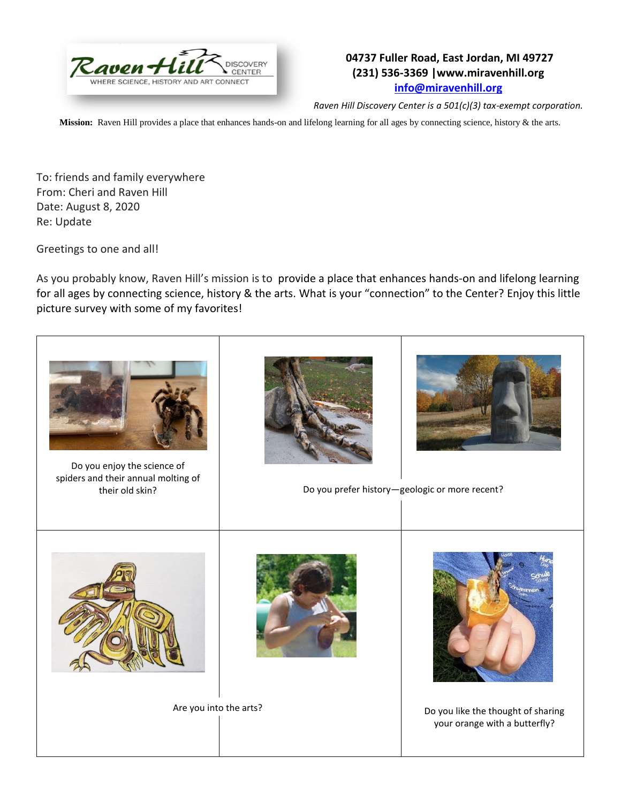

## **04737 Fuller Road, East Jordan, MI 49727 (231) 536-3369 |www.miravenhill.org [info@miravenhill.org](mailto:info@miravenhill.org)**

*Raven Hill Discovery Center is a 501(c)(3) tax-exempt corporation.*

**Mission:** Raven Hill provides a place that enhances hands-on and lifelong learning for all ages by connecting science, history & the arts.

To: friends and family everywhere From: Cheri and Raven Hill Date: August 8, 2020 Re: Update

Greetings to one and all!

As you probably know, Raven Hill's mission is to provide a place that enhances hands-on and lifelong learning for all ages by connecting science, history & the arts. What is your "connection" to the Center? Enjoy this little picture survey with some of my favorites!



Do you enjoy the science of spiders and their annual molting of





their old skin? **Do you prefer history—geologic or more recent**?





Are you into the arts? **Do you like the thought of sharing** your orange with a butterfly?